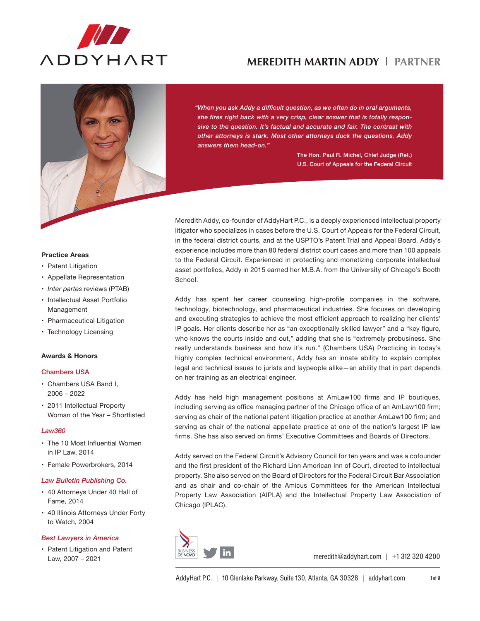



*"When you ask Addy a difficult question, as we often do in oral arguments, she fires right back with a very crisp, clear answer that is totally responsive to the question. It's factual and accurate and fair. The contrast with other attorneys is stark. Most other attorneys duck the questions. Addy answers them head-on."*

> The Hon. Paul R. Michel, Chief Judge (Ret.) U.S. Court of Appeals for the Federal Circuit

## litigator who specializes in cases before the U.S. Court of Appeals for the Federal Circuit, in the federal district courts, and at the USPTO's Patent Trial and Appeal Board. Addy's experience includes more than 80 federal district court cases and more than 100 appeals to the Federal Circuit. Experienced in protecting and monetizing corporate intellectual asset portfolios, Addy in 2015 earned her M.B.A. from the University of Chicago's Booth School.

Meredith Addy, co-founder of AddyHart P.C., is a deeply experienced intellectual property

Addy has spent her career counseling high-profile companies in the software, technology, biotechnology, and pharmaceutical industries. She focuses on developing and executing strategies to achieve the most efficient approach to realizing her clients' IP goals. Her clients describe her as "an exceptionally skilled lawyer" and a "key figure, who knows the courts inside and out," adding that she is "extremely probusiness. She really understands business and how it's run." (Chambers USA) Practicing in today's highly complex technical environment, Addy has an innate ability to explain complex legal and technical issues to jurists and laypeople alike—an ability that in part depends on her training as an electrical engineer.

Addy has held high management positions at AmLaw100 firms and IP boutiques, including serving as office managing partner of the Chicago office of an AmLaw100 firm; serving as chair of the national patent litigation practice at another AmLaw100 firm; and serving as chair of the national appellate practice at one of the nation's largest IP law firms. She has also served on firms' Executive Committees and Boards of Directors.

Addy served on the Federal Circuit's Advisory Council for ten years and was a cofounder and the first president of the Richard Linn American Inn of Court, directed to intellectual property. She also served on the Board of Directors for the Federal Circuit Bar Association and as chair and co-chair of the Amicus Committees for the American Intellectual Property Law Association (AIPLA) and the Intellectual Property Law Association of Chicago (IPLAC).



meredith@addyhart.com | +1 312 320 4200

#### **Practice Areas**

- Patent Litigation
- • Appellate Representation
- • *Inter partes* reviews (PTAB)
- • Intellectual Asset Portfolio Management
- Pharmaceutical Litigation
- Technology Licensing

#### **Awards & Honors**

### Chambers USA

- • Chambers USA Band I, 2006 – 2022
- • 2011 Intellectual Property Woman of the Year – Shortlisted

#### *Law360*

- The 10 Most Influential Women in IP Law, 2014
- • Female Powerbrokers, 2014

#### *Law Bulletin Publishing Co.*

- • 40 Attorneys Under 40 Hall of Fame, 2014
- • 40 Illinois Attorneys Under Forty to Watch, 2004

### *Best Lawyers in America*

• Patent Litigation and Patent Law, 2007 – 2021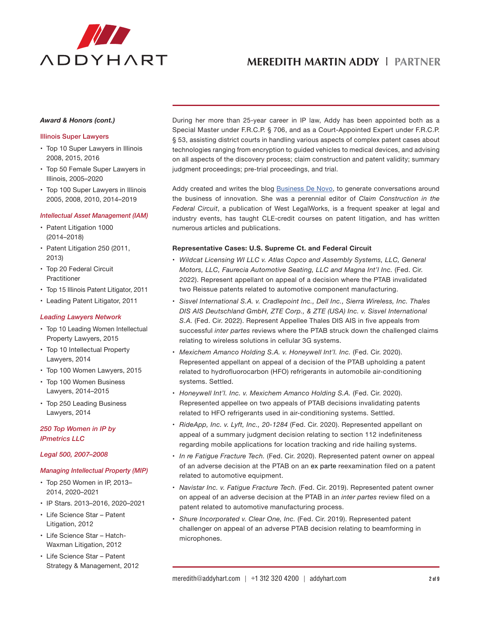

#### *Award & Honors (cont.)*

#### Illinois Super Lawyers

- Top 10 Super Lawyers in Illinois 2008, 2015, 2016
- Top 50 Female Super Lawyers in Illinois, 2005–2020
- Top 100 Super Lawyers in Illinois 2005, 2008, 2010, 2014–2019

#### *Intellectual Asset Management (IAM)*

- Patent Litigation 1000 (2014–2018)
- Patent Litigation 250 (2011, 2013)
- Top 20 Federal Circuit Practitioner
- Top 15 Illinois Patent Litigator, 2011
- • Leading Patent Litigator, 2011

## *Leading Lawyers Network*

- Top 10 Leading Women Intellectual Property Lawyers, 2015
- Top 10 Intellectual Property Lawyers, 2014
- Top 100 Women Lawyers, 2015
- Top 100 Women Business Lawyers, 2014–2015
- Top 250 Leading Business Lawyers, 2014

## *250 Top Women in IP by IPmetrics LLC*

#### *Legal 500, 2007–2008*

## *Managing Intellectual Property (MIP)*

- Top 250 Women in IP, 2013-2014, 2020–2021
- • IP Stars. 2013–2016, 2020–2021
- • Life Science Star Patent Litigation, 2012
- • Life Science Star Hatch-Waxman Litigation, 2012
- • Life Science Star Patent Strategy & Management, 2012

During her more than 25-year career in IP law, Addy has been appointed both as a Special Master under F.R.C.P. § 706, and as a Court-Appointed Expert under F.R.C.P. § 53, assisting district courts in handling various aspects of complex patent cases about technologies ranging from encryption to guided vehicles to medical devices, and advising on all aspects of the discovery process; claim construction and patent validity; summary judgment proceedings; pre-trial proceedings, and trial.

Addy created and writes the blo[g Business De Novo,](www.businessdenovo.com) to generate conversations around the business of innovation. She was a perennial editor of *Claim Construction in the Federal Circuit*, a publication of West LegalWorks, is a frequent speaker at legal and industry events, has taught CLE-credit courses on patent litigation, and has written numerous articles and publications.

## **Representative Cases: U.S. Supreme Ct. and Federal Circuit**

- • *Wildcat Licensing WI LLC v. Atlas Copco and Assembly Systems, LLC, General Motors, LLC, Faurecia Automotive Seating, LLC and Magna Int'l Inc.* (Fed. Cir. 2022). Represent appellant on appeal of a decision where the PTAB invalidated two Reissue patents related to automotive component manufacturing.
- • *Sisvel International S.A. v. Cradlepoint Inc., Dell Inc., Sierra Wireless, Inc. Thales DIS AIS Deutschland GmbH, ZTE Corp., & ZTE (USA) Inc. v. Sisvel International S.A.* (Fed. Cir. 2022). Represent Appellee Thales DIS AIS in five appeals from successful *inter partes* reviews where the PTAB struck down the challenged claims relating to wireless solutions in cellular 3G systems.
- • *Mexichem Amanco Holding S.A. v. Honeywell Int'l. Inc.* (Fed. Cir. 2020). Represented appellant on appeal of a decision of the PTAB upholding a patent related to hydrofluorocarbon (HFO) refrigerants in automobile air-conditioning systems. Settled.
- • *Honeywell Int'l. Inc. v. Mexichem Amanco Holding S.A.* (Fed. Cir. 2020). Represented appellee on two appeals of PTAB decisions invalidating patents related to HFO refrigerants used in air-conditioning systems. Settled.
- • *RideApp, Inc. v. Lyft, Inc., 20-1284* (Fed. Cir. 2020). Represented appellant on appeal of a summary judgment decision relating to section 112 indefiniteness regarding mobile applications for location tracking and ride hailing systems.
- • *In re Fatigue Fracture Tech.* (Fed. Cir. 2020). Represented patent owner on appeal of an adverse decision at the PTAB on an ex parte reexamination filed on a patent related to automotive equipment.
- • *Navistar Inc. v. Fatigue Fracture Tech.* (Fed. Cir. 2019). Represented patent owner on appeal of an adverse decision at the PTAB in an *inter partes* review filed on a patent related to automotive manufacturing process.
- • *Shure Incorporated v. Clear One, Inc.* (Fed. Cir. 2019). Represented patent challenger on appeal of an adverse PTAB decision relating to beamforming in microphones.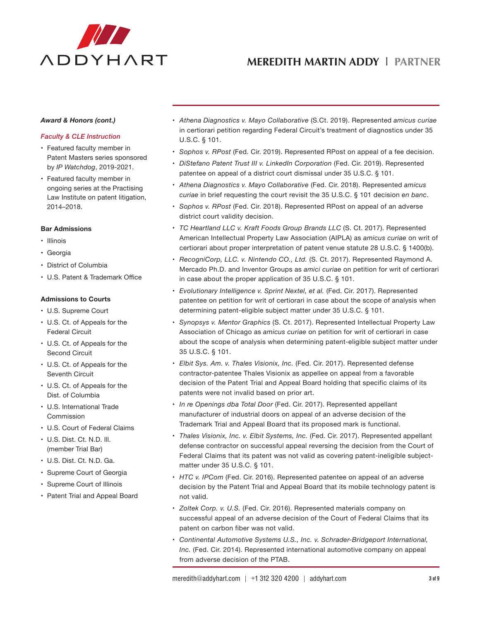

#### *Award & Honors (cont.)*

### *Faculty & CLE Instruction*

- • Featured faculty member in Patent Masters series sponsored by *IP Watchdog*, 2019-2021.
- • Featured faculty member in ongoing series at the Practising Law Institute on patent litigation, 2014–2018.

### **Bar Admissions**

- • Illinois
- • Georgia
- • District of Columbia
- • U.S. Patent & Trademark Office

#### **Admissions to Courts**

- • U.S. Supreme Court
- • U.S. Ct. of Appeals for the Federal Circuit
- • U.S. Ct. of Appeals for the Second Circuit
- • U.S. Ct. of Appeals for the Seventh Circuit
- • U.S. Ct. of Appeals for the Dist. of Columbia
- • U.S. International Trade Commission
- • U.S. Court of Federal Claims
- • U.S. Dist. Ct. N.D. Ill. (member Trial Bar)
- • U.S. Dist. Ct. N.D. Ga.
- • Supreme Court of Georgia
- • Supreme Court of Illinois
- • Patent Trial and Appeal Board
- • *Athena Diagnostics v. Mayo Collaborative* (S.Ct. 2019). Represented *amicus curiae* in certiorari petition regarding Federal Circuit's treatment of diagnostics under 35 U.S.C. § 101.
- • *Sophos v. RPost* (Fed. Cir. 2019). Represented RPost on appeal of a fee decision.
- • *DiStefano Patent Trust III v. LinkedIn Corporation* (Fed. Cir. 2019). Represented patentee on appeal of a district court dismissal under 35 U.S.C. § 101.
- • *Athena Diagnostics v. Mayo Collaborative* (Fed. Cir. 2018). Represented *amicus curiae* in brief requesting the court revisit the 35 U.S.C. § 101 decision *en banc*.
- • *Sophos v. RPost* (Fed. Cir. 2018). Represented RPost on appeal of an adverse district court validity decision.
- • *TC Heartland LLC v. Kraft Foods Group Brands LLC* (S. Ct. 2017). Represented American Intellectual Property Law Association (AIPLA) as *amicus curiae* on writ of certiorari about proper interpretation of patent venue statute 28 U.S.C. § 1400(b).
- • *RecogniCorp, LLC. v. Nintendo CO., Ltd.* (S. Ct. 2017). Represented Raymond A. Mercado Ph.D. and Inventor Groups as *amici curiae* on petition for writ of certiorari in case about the proper application of 35 U.S.C. § 101.
- • *Evolutionary Intelligence v. Sprint Nextel, et al.* (Fed. Cir. 2017). Represented patentee on petition for writ of certiorari in case about the scope of analysis when determining patent-eligible subject matter under 35 U.S.C. § 101.
- • *Synopsys v. Mentor Graphics* (S. Ct. 2017). Represented Intellectual Property Law Association of Chicago as *amicus curiae* on petition for writ of certiorari in case about the scope of analysis when determining patent-eligible subject matter under 35 U.S.C. § 101.
- • *Elbit Sys. Am. v. Thales Visionix, Inc.* (Fed. Cir. 2017). Represented defense contractor-patentee Thales Visionix as appellee on appeal from a favorable decision of the Patent Trial and Appeal Board holding that specific claims of its patents were not invalid based on prior art.
- • *In re Openings dba Total Door* (Fed. Cir. 2017). Represented appellant manufacturer of industrial doors on appeal of an adverse decision of the Trademark Trial and Appeal Board that its proposed mark is functional.
- • *Thales Visionix, Inc. v. Elbit Systems, Inc.* (Fed. Cir. 2017). Represented appellant defense contractor on successful appeal reversing the decision from the Court of Federal Claims that its patent was not valid as covering patent-ineligible subjectmatter under 35 U.S.C. § 101.
- • *HTC v. IPCom* (Fed. Cir. 2016). Represented patentee on appeal of an adverse decision by the Patent Trial and Appeal Board that its mobile technology patent is not valid.
- • *Zoltek Corp. v. U.S.* (Fed. Cir. 2016). Represented materials company on successful appeal of an adverse decision of the Court of Federal Claims that its patent on carbon fiber was not valid.
- • *Continental Automotive Systems U.S., Inc. v. Schrader-Bridgeport International, Inc.* (Fed. Cir. 2014). Represented international automotive company on appeal from adverse decision of the PTAB.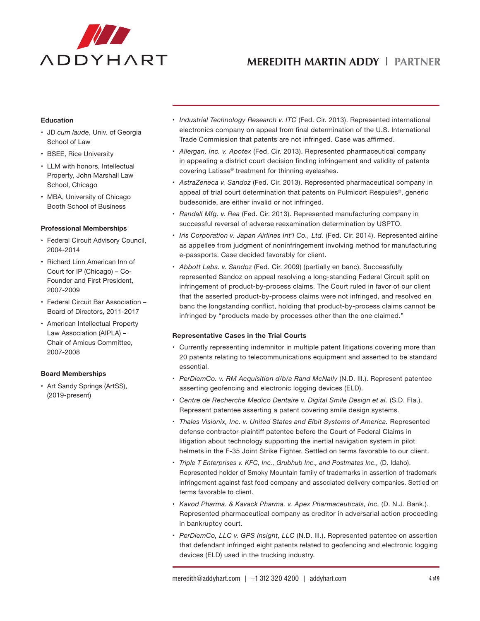

### **Education**

- • JD *cum laude*, Univ. of Georgia School of Law
- • BSEE, Rice University
- LLM with honors, Intellectual Property, John Marshall Law School, Chicago
- MBA, University of Chicago Booth School of Business

#### **Professional Memberships**

- Federal Circuit Advisory Council, 2004-2014
- • Richard Linn American Inn of Court for IP (Chicago) – Co-Founder and First President, 2007-2009
- • Federal Circuit Bar Association Board of Directors, 2011-2017
- • American Intellectual Property Law Association (AIPLA) – Chair of Amicus Committee, 2007-2008

### **Board Memberships**

• Art Sandy Springs (ArtSS), (2019-present)

- • *Industrial Technology Research v. ITC* (Fed. Cir. 2013). Represented international electronics company on appeal from final determination of the U.S. International Trade Commission that patents are not infringed. Case was affirmed.
- • *Allergan, Inc. v. Apotex* (Fed. Cir. 2013). Represented pharmaceutical company in appealing a district court decision finding infringement and validity of patents covering Latisse® treatment for thinning eyelashes.
- • *AstraZeneca v. Sandoz* (Fed. Cir. 2013). Represented pharmaceutical company in appeal of trial court determination that patents on Pulmicort Respules®, generic budesonide, are either invalid or not infringed.
- • *Randall Mfg. v. Rea* (Fed. Cir. 2013). Represented manufacturing company in successful reversal of adverse reexamination determination by USPTO.
- • *Iris Corporation v. Japan Airlines Int'l Co., Ltd.* (Fed. Cir. 2014). Represented airline as appellee from judgment of noninfringement involving method for manufacturing e-passports. Case decided favorably for client.
- • *Abbott Labs. v. Sandoz* (Fed. Cir. 2009) (partially en banc). Successfully represented Sandoz on appeal resolving a long-standing Federal Circuit split on infringement of product-by-process claims. The Court ruled in favor of our client that the asserted product-by-process claims were not infringed, and resolved en banc the longstanding conflict, holding that product-by-process claims cannot be infringed by "products made by processes other than the one claimed."

### **Representative Cases in the Trial Courts**

- • Currently representing indemnitor in multiple patent litigations covering more than 20 patents relating to telecommunications equipment and asserted to be standard essential.
- • *PerDiemCo. v. RM Acquisition d/b/a Rand McNally* (N.D. Ill.). Represent patentee asserting geofencing and electronic logging devices (ELD).
- • *Centre de Recherche Medico Dentaire v. Digital Smile Design et al.* (S.D. Fla.). Represent patentee asserting a patent covering smile design systems.
- • *Thales Visionix, Inc. v. United States and Elbit Systems of America.* Represented defense contractor-plaintiff patentee before the Court of Federal Claims in litigation about technology supporting the inertial navigation system in pilot helmets in the F-35 Joint Strike Fighter. Settled on terms favorable to our client.
- • *Triple T Enterprises v. KFC, Inc., Grubhub Inc., and Postmates Inc.,* (D. Idaho). Represented holder of Smoky Mountain family of trademarks in assertion of trademark infringement against fast food company and associated delivery companies. Settled on terms favorable to client.
- • *Kavod Pharma. & Kavack Pharma. v. Apex Pharmaceuticals, Inc.* (D. N.J. Bank.). Represented pharmaceutical company as creditor in adversarial action proceeding in bankruptcy court.
- • *PerDiemCo, LLC v. GPS Insight, LLC* (N.D. Ill.). Represented patentee on assertion that defendant infringed eight patents related to geofencing and electronic logging devices (ELD) used in the trucking industry.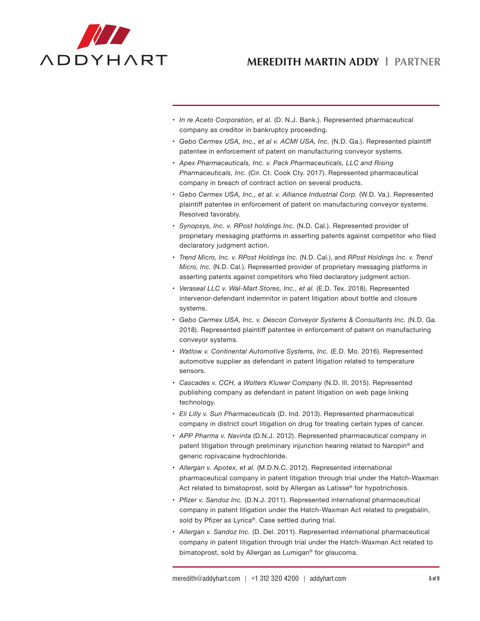

- • *In re Aceto Corporation, et al.* (D. N.J. Bank.). Represented pharmaceutical company as creditor in bankruptcy proceeding.
- • *Gebo Cermex USA, Inc., et al v. ACMI USA, Inc.* (N.D. Ga.). Represented plaintiff patentee in enforcement of patent on manufacturing conveyor systems.
- • *Apex Pharmaceuticals, Inc. v. Pack Pharmaceuticals, LLC and Rising Pharmaceuticals, Inc.* (Cir. Ct. Cook Cty. 2017). Represented pharmaceutical company in breach of contract action on several products.
- • *Gebo Cermex USA, Inc., et al. v. Alliance Industrial Corp.* (W.D. Va.). Represented plaintiff patentee in enforcement of patent on manufacturing conveyor systems. Resolved favorably.
- • *Synopsys, Inc. v. RPost holdings Inc.* (N.D. Cal.). Represented provider of proprietary messaging platforms in asserting patents against competitor who filed declaratory judgment action.
- • *Trend Micro, Inc. v. RPost Holdings Inc.* (N.D. Cal.), and *RPost Holdings Inc. v. Trend Micro, Inc.* (N.D. Cal.). Represented provider of proprietary messaging platforms in asserting patents against competitors who filed declaratory judgment action.
- • *Veraseal LLC v. Wal-Mart Stores, Inc., et al.* (E.D. Tex. 2018). Represented intervenor-defendant indemnitor in patent litigation about bottle and closure systems.
- • *Gebo Cermex USA, Inc. v. Descon Conveyor Systems & Consultants Inc.* (N.D. Ga. 2018). Represented plaintiff patentee in enforcement of patent on manufacturing conveyor systems.
- • *Watlow v. Continental Automotive Systems, Inc.* (E.D. Mo. 2016). Represented automotive supplier as defendant in patent litigation related to temperature sensors.
- • *Cascades v. CCH, a Wolters Kluwer Company* (N.D. Ill. 2015). Represented publishing company as defendant in patent litigation on web page linking technology.
- • *Eli Lilly v. Sun Pharmaceuticals* (D. Ind. 2013). Represented pharmaceutical company in district court litigation on drug for treating certain types of cancer.
- • *APP Pharma v. Navinta* (D.N.J. 2012). Represented pharmaceutical company in patent litigation through preliminary injunction hearing related to Naropin® and generic ropivacaine hydrochloride.
- • *Allergan v. Apotex, et al.* (M.D.N.C. 2012). Represented international pharmaceutical company in patent litigation through trial under the Hatch-Waxman Act related to bimatoprost, sold by Allergan as Latisse® for hypotrichosis.
- • *Pfizer v. Sandoz Inc.* (D.N.J. 2011). Represented international pharmaceutical company in patent litigation under the Hatch-Waxman Act related to pregabalin, sold by Pfizer as Lyrica®. Case settled during trial.
- • *Allergan v. Sandoz Inc.* (D. Del. 2011). Represented international pharmaceutical company in patent litigation through trial under the Hatch-Waxman Act related to bimatoprost, sold by Allergan as Lumigan® for glaucoma.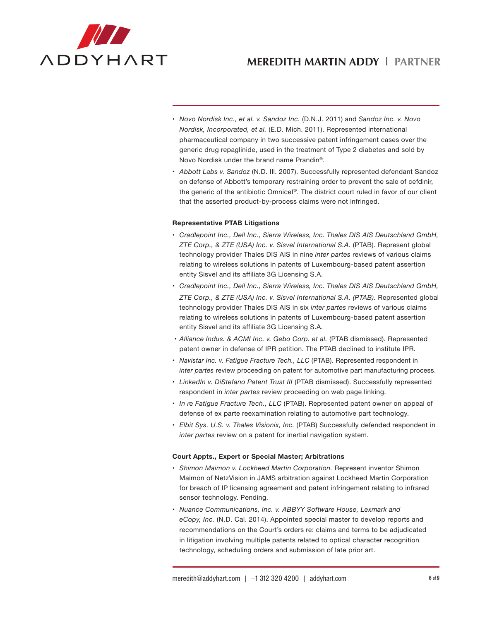

- • *Novo Nordisk Inc., et al. v. Sandoz Inc.* (D.N.J. 2011) and *Sandoz Inc. v. Novo Nordisk, Incorporated, et al.* (E.D. Mich. 2011). Represented international pharmaceutical company in two successive patent infringement cases over the generic drug repaglinide, used in the treatment of Type 2 diabetes and sold by Novo Nordisk under the brand name Prandin®.
- • *Abbott Labs v. Sandoz* (N.D. Ill. 2007). Successfully represented defendant Sandoz on defense of Abbott's temporary restraining order to prevent the sale of cefdinir, the generic of the antibiotic Omnicef®. The district court ruled in favor of our client that the asserted product-by-process claims were not infringed.

### **Representative PTAB Litigations**

- • *Cradlepoint Inc., Dell Inc., Sierra Wireless, Inc. Thales DIS AIS Deutschland GmbH, ZTE Corp., & ZTE (USA) Inc. v. Sisvel International S.A.* (PTAB). Represent global technology provider Thales DIS AIS in nine *inter partes* reviews of various claims relating to wireless solutions in patents of Luxembourg-based patent assertion entity Sisvel and its affiliate 3G Licensing S.A.
- • *Cradlepoint Inc., Dell Inc., Sierra Wireless, Inc. Thales DIS AIS Deutschland GmbH, ZTE Corp., & ZTE (USA) Inc. v. Sisvel International S.A. (PTAB).* Represented global technology provider Thales DIS AIS in six *inter partes* reviews of various claims relating to wireless solutions in patents of Luxembourg-based patent assertion entity Sisvel and its affiliate 3G Licensing S.A.
- • *Alliance Indus. & ACMI Inc. v. Gebo Corp. et al.* (PTAB dismissed). Represented patent owner in defense of IPR petition. The PTAB declined to institute IPR.
- • *Navistar Inc. v. Fatigue Fracture Tech., LLC* (PTAB). Represented respondent in *inter partes* review proceeding on patent for automotive part manufacturing process.
- • *LinkedIn v. DiStefano Patent Trust III* (PTAB dismissed). Successfully represented respondent in *inter partes* review proceeding on web page linking.
- • *In re Fatigue Fracture Tech., LLC* (PTAB). Represented patent owner on appeal of defense of ex parte reexamination relating to automotive part technology.
- • *Elbit Sys. U.S. v. Thales Visionix, Inc.* (PTAB) Successfully defended respondent in *inter partes* review on a patent for inertial navigation system.

#### **Court Appts., Expert or Special Master; Arbitrations**

- • *Shimon Maimon v. Lockheed Martin Corporation.* Represent inventor Shimon Maimon of NetzVision in JAMS arbitration against Lockheed Martin Corporation for breach of IP licensing agreement and patent infringement relating to infrared sensor technology. Pending.
- • *Nuance Communications, Inc. v. ABBYY Software House, Lexmark and eCopy, Inc.* (N.D. Cal. 2014). Appointed special master to develop reports and recommendations on the Court's orders re: claims and terms to be adjudicated in litigation involving multiple patents related to optical character recognition technology, scheduling orders and submission of late prior art.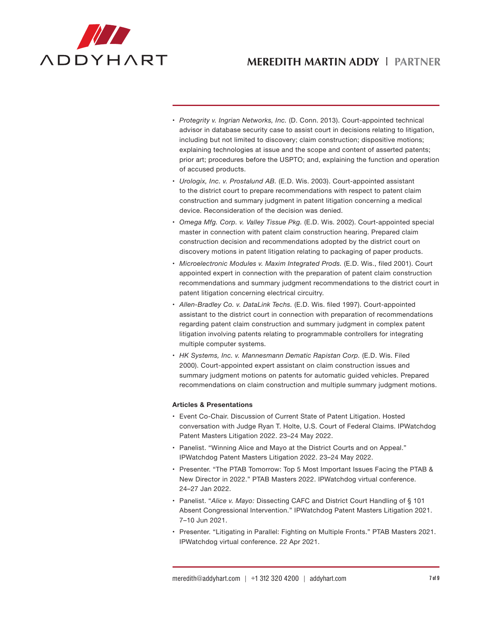

- • *Protegrity v. Ingrian Networks, Inc.* (D. Conn. 2013). Court-appointed technical advisor in database security case to assist court in decisions relating to litigation, including but not limited to discovery; claim construction; dispositive motions; explaining technologies at issue and the scope and content of asserted patents; prior art; procedures before the USPTO; and, explaining the function and operation of accused products.
- • *Urologix, Inc. v. Prostalund AB.* (E.D. Wis. 2003). Court-appointed assistant to the district court to prepare recommendations with respect to patent claim construction and summary judgment in patent litigation concerning a medical device. Reconsideration of the decision was denied.
- • *Omega Mfg. Corp. v. Valley Tissue Pkg.* (E.D. Wis. 2002). Court-appointed special master in connection with patent claim construction hearing. Prepared claim construction decision and recommendations adopted by the district court on discovery motions in patent litigation relating to packaging of paper products.
- • *Microelectronic Modules v. Maxim Integrated Prods.* (E.D. Wis., filed 2001). Court appointed expert in connection with the preparation of patent claim construction recommendations and summary judgment recommendations to the district court in patent litigation concerning electrical circuitry.
- • *Allen-Bradley Co. v. DataLink Techs.* (E.D. Wis. filed 1997). Court-appointed assistant to the district court in connection with preparation of recommendations regarding patent claim construction and summary judgment in complex patent litigation involving patents relating to programmable controllers for integrating multiple computer systems.
- • *HK Systems, Inc. v. Mannesmann Dematic Rapistan Corp.* (E.D. Wis. Filed 2000). Court-appointed expert assistant on claim construction issues and summary judgment motions on patents for automatic guided vehicles. Prepared recommendations on claim construction and multiple summary judgment motions.

## **Articles & Presentations**

- • Event Co-Chair. Discussion of Current State of Patent Litigation. Hosted conversation with Judge Ryan T. Holte, U.S. Court of Federal Claims. IPWatchdog Patent Masters Litigation 2022. 23–24 May 2022.
- Panelist. "Winning Alice and Mayo at the District Courts and on Appeal." IPWatchdog Patent Masters Litigation 2022. 23–24 May 2022.
- Presenter. "The PTAB Tomorrow: Top 5 Most Important Issues Facing the PTAB & New Director in 2022." PTAB Masters 2022. IPWatchdog virtual conference. 24–27 Jan 2022.
- • Panelist. "*Alice v. Mayo:* Dissecting CAFC and District Court Handling of § 101 Absent Congressional Intervention." IPWatchdog Patent Masters Litigation 2021. 7–10 Jun 2021.
- • Presenter. "Litigating in Parallel: Fighting on Multiple Fronts." PTAB Masters 2021. IPWatchdog virtual conference. 22 Apr 2021.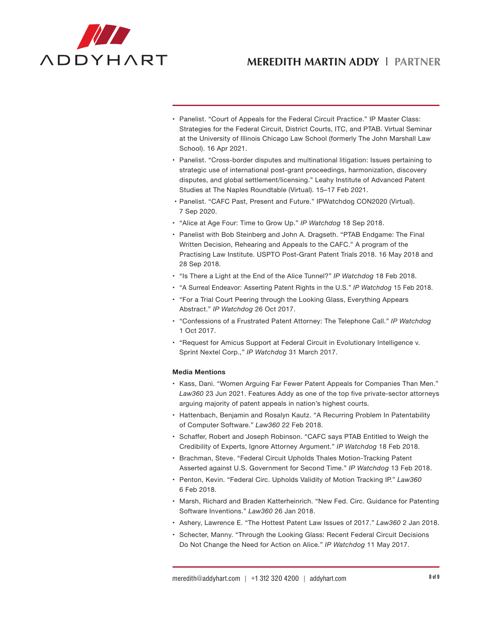

- • Panelist. "Court of Appeals for the Federal Circuit Practice." IP Master Class: Strategies for the Federal Circuit, District Courts, ITC, and PTAB. Virtual Seminar at the University of Illinois Chicago Law School (formerly The John Marshall Law School). 16 Apr 2021.
- • Panelist. "Cross-border disputes and multinational litigation: Issues pertaining to strategic use of international post-grant proceedings, harmonization, discovery disputes, and global settlement/licensing." Leahy Institute of Advanced Patent Studies at The Naples Roundtable (Virtual). 15–17 Feb 2021.
- • Panelist. "CAFC Past, Present and Future." IPWatchdog CON2020 (Virtual). 7 Sep 2020.
- • "Alice at Age Four: Time to Grow Up." *IP Watchdog* 18 Sep 2018.
- Panelist with Bob Steinberg and John A. Dragseth. "PTAB Endgame: The Final Written Decision, Rehearing and Appeals to the CAFC." A program of the Practising Law Institute. USPTO Post-Grant Patent Trials 2018. 16 May 2018 and 28 Sep 2018.
- • "Is There a Light at the End of the Alice Tunnel?" *IP Watchdog* 18 Feb 2018.
- • "A Surreal Endeavor: Asserting Patent Rights in the U.S." *IP Watchdog* 15 Feb 2018.
- "For a Trial Court Peering through the Looking Glass, Everything Appears Abstract." *IP Watchdog* 26 Oct 2017.
- • "Confessions of a Frustrated Patent Attorney: The Telephone Call." *IP Watchdog* 1 Oct 2017.
- • "Request for Amicus Support at Federal Circuit in Evolutionary Intelligence v. Sprint Nextel Corp.," *IP Watchdog* 31 March 2017.

#### **Media Mentions**

- Kass, Dani. "Women Arguing Far Fewer Patent Appeals for Companies Than Men." *Law360* 23 Jun 2021. Features Addy as one of the top five private-sector attorneys arguing majority of patent appeals in nation's highest courts.
- • Hattenbach, Benjamin and Rosalyn Kautz. "A Recurring Problem In Patentability of Computer Software." *Law360* 22 Feb 2018.
- • Schaffer, Robert and Joseph Robinson. "CAFC says PTAB Entitled to Weigh the Credibility of Experts, Ignore Attorney Argument." *IP Watchdog* 18 Feb 2018.
- Brachman, Steve. "Federal Circuit Upholds Thales Motion-Tracking Patent Asserted against U.S. Government for Second Time." *IP Watchdog* 13 Feb 2018.
- • Penton, Kevin. "Federal Circ. Upholds Validity of Motion Tracking IP." *Law360* 6 Feb 2018.
- • Marsh, Richard and Braden Katterheinrich. "New Fed. Circ. Guidance for Patenting Software Inventions." *Law360* 26 Jan 2018.
- • Ashery, Lawrence E. "The Hottest Patent Law Issues of 2017." *Law360* 2 Jan 2018.
- • Schecter, Manny. "Through the Looking Glass: Recent Federal Circuit Decisions Do Not Change the Need for Action on Alice." *IP Watchdog* 11 May 2017.